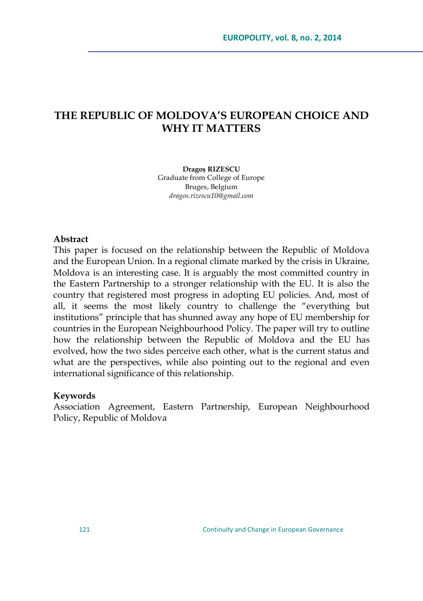# **THE REPUBLIC OF MOLDOVA"S EUROPEAN CHOICE AND WHY IT MATTERS**

**Dragoș RIZESCU** Graduate from College of Europe Bruges, Belgium *dragos.rizescu10@gmail.com*

#### **Abstract**

This paper is focused on the relationship between the Republic of Moldova and the European Union. In a regional climate marked by the crisis in Ukraine, Moldova is an interesting case. It is arguably the most committed country in the Eastern Partnership to a stronger relationship with the EU. It is also the country that registered most progress in adopting EU policies. And, most of all, it seems the most likely country to challenge the "everything but institutions" principle that has shunned away any hope of EU membership for countries in the European Neighbourhood Policy. The paper will try to outline how the relationship between the Republic of Moldova and the EU has evolved, how the two sides perceive each other, what is the current status and what are the perspectives, while also pointing out to the regional and even international significance of this relationship.

#### **Keywords**

Association Agreement, Eastern Partnership, European Neighbourhood Policy, Republic of Moldova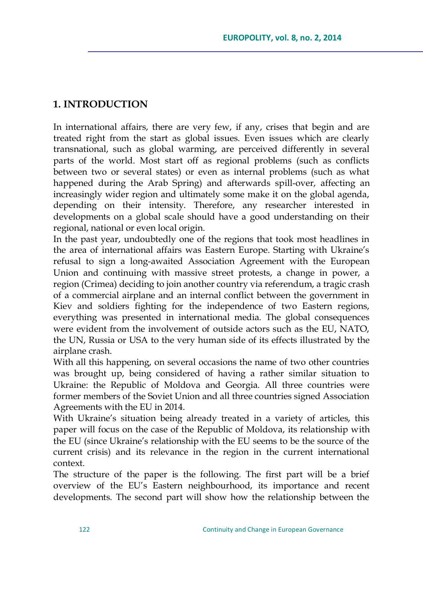## **1. INTRODUCTION**

In international affairs, there are very few, if any, crises that begin and are treated right from the start as global issues. Even issues which are clearly transnational, such as global warming, are perceived differently in several parts of the world. Most start off as regional problems (such as conflicts between two or several states) or even as internal problems (such as what happened during the Arab Spring) and afterwards spill-over, affecting an increasingly wider region and ultimately some make it on the global agenda, depending on their intensity. Therefore, any researcher interested in developments on a global scale should have a good understanding on their regional, national or even local origin.

In the past year, undoubtedly one of the regions that took most headlines in the area of international affairs was Eastern Europe. Starting with Ukraine's refusal to sign a long-awaited Association Agreement with the European Union and continuing with massive street protests, a change in power, a region (Crimea) deciding to join another country via referendum, a tragic crash of a commercial airplane and an internal conflict between the government in Kiev and soldiers fighting for the independence of two Eastern regions, everything was presented in international media. The global consequences were evident from the involvement of outside actors such as the EU, NATO, the UN, Russia or USA to the very human side of its effects illustrated by the airplane crash.

With all this happening, on several occasions the name of two other countries was brought up, being considered of having a rather similar situation to Ukraine: the Republic of Moldova and Georgia. All three countries were former members of the Soviet Union and all three countries signed Association Agreements with the EU in 2014.

With Ukraine's situation being already treated in a variety of articles, this paper will focus on the case of the Republic of Moldova, its relationship with the EU (since Ukraine's relationship with the EU seems to be the source of the current crisis) and its relevance in the region in the current international context.

The structure of the paper is the following. The first part will be a brief overview of the EU's Eastern neighbourhood, its importance and recent developments. The second part will show how the relationship between the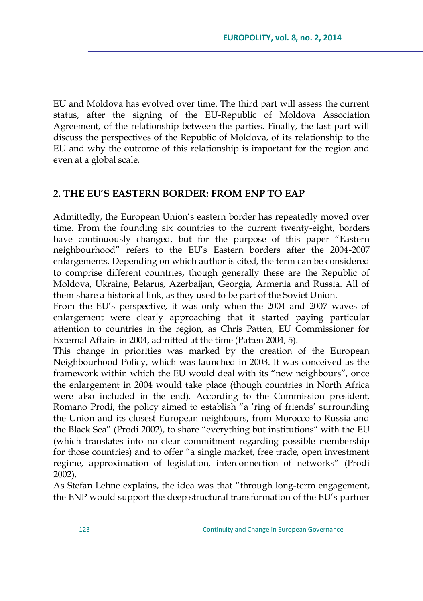EU and Moldova has evolved over time. The third part will assess the current status, after the signing of the EU-Republic of Moldova Association Agreement, of the relationship between the parties. Finally, the last part will discuss the perspectives of the Republic of Moldova, of its relationship to the EU and why the outcome of this relationship is important for the region and even at a global scale.

## **2. THE EU"S EASTERN BORDER: FROM ENP TO EAP**

Admittedly, the European Union's eastern border has repeatedly moved over time. From the founding six countries to the current twenty-eight, borders have continuously changed, but for the purpose of this paper "Eastern" neighbourhood‖ refers to the EU's Eastern borders after the 2004-2007 enlargements. Depending on which author is cited, the term can be considered to comprise different countries, though generally these are the Republic of Moldova, Ukraine, Belarus, Azerbaijan, Georgia, Armenia and Russia. All of them share a historical link, as they used to be part of the Soviet Union.

From the EU's perspective, it was only when the 2004 and 2007 waves of enlargement were clearly approaching that it started paying particular attention to countries in the region, as Chris Patten, EU Commissioner for External Affairs in 2004, admitted at the time (Patten 2004, 5).

This change in priorities was marked by the creation of the European Neighbourhood Policy, which was launched in 2003. It was conceived as the framework within which the EU would deal with its "new neighbours", once the enlargement in 2004 would take place (though countries in North Africa were also included in the end). According to the Commission president, Romano Prodi, the policy aimed to establish "a 'ring of friends' surrounding the Union and its closest European neighbours, from Morocco to Russia and the Black Sea" (Prodi 2002), to share "everything but institutions" with the EU (which translates into no clear commitment regarding possible membership for those countries) and to offer "a single market, free trade, open investment regime, approximation of legislation, interconnection of networks" (Prodi 2002).

As Stefan Lehne explains, the idea was that "through long-term engagement, the ENP would support the deep structural transformation of the EU's partner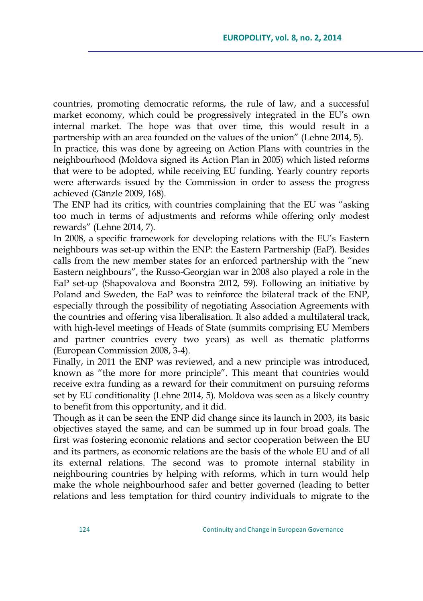countries, promoting democratic reforms, the rule of law, and a successful market economy, which could be progressively integrated in the EU's own internal market. The hope was that over time, this would result in a partnership with an area founded on the values of the union" (Lehne 2014, 5).

In practice, this was done by agreeing on Action Plans with countries in the neighbourhood (Moldova signed its Action Plan in 2005) which listed reforms that were to be adopted, while receiving EU funding. Yearly country reports were afterwards issued by the Commission in order to assess the progress achieved (Gänzle 2009, 168).

The ENP had its critics, with countries complaining that the EU was "asking" too much in terms of adjustments and reforms while offering only modest rewards‖ (Lehne 2014, 7).

In 2008, a specific framework for developing relations with the EU's Eastern neighbours was set-up within the ENP: the Eastern Partnership (EaP). Besides calls from the new member states for an enforced partnership with the "new Eastern neighbours‖, the Russo-Georgian war in 2008 also played a role in the EaP set-up (Shapovalova and Boonstra 2012, 59). Following an initiative by Poland and Sweden, the EaP was to reinforce the bilateral track of the ENP, especially through the possibility of negotiating Association Agreements with the countries and offering visa liberalisation. It also added a multilateral track, with high-level meetings of Heads of State (summits comprising EU Members and partner countries every two years) as well as thematic platforms (European Commission 2008, 3-4).

Finally, in 2011 the ENP was reviewed, and a new principle was introduced, known as "the more for more principle". This meant that countries would receive extra funding as a reward for their commitment on pursuing reforms set by EU conditionality (Lehne 2014, 5). Moldova was seen as a likely country to benefit from this opportunity, and it did.

Though as it can be seen the ENP did change since its launch in 2003, its basic objectives stayed the same, and can be summed up in four broad goals. The first was fostering economic relations and sector cooperation between the EU and its partners, as economic relations are the basis of the whole EU and of all its external relations. The second was to promote internal stability in neighbouring countries by helping with reforms, which in turn would help make the whole neighbourhood safer and better governed (leading to better relations and less temptation for third country individuals to migrate to the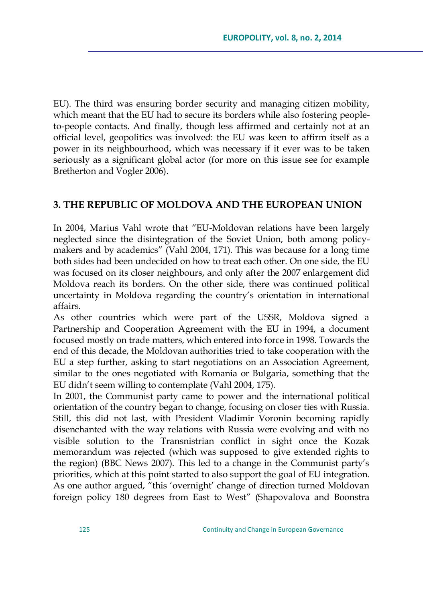EU). The third was ensuring border security and managing citizen mobility, which meant that the EU had to secure its borders while also fostering peopleto-people contacts. And finally, though less affirmed and certainly not at an official level, geopolitics was involved: the EU was keen to affirm itself as a power in its neighbourhood, which was necessary if it ever was to be taken seriously as a significant global actor (for more on this issue see for example Bretherton and Vogler 2006).

### **3. THE REPUBLIC OF MOLDOVA AND THE EUROPEAN UNION**

In 2004, Marius Vahl wrote that "EU-Moldovan relations have been largely neglected since the disintegration of the Soviet Union, both among policymakers and by academics" (Vahl 2004, 171). This was because for a long time both sides had been undecided on how to treat each other. On one side, the EU was focused on its closer neighbours, and only after the 2007 enlargement did Moldova reach its borders. On the other side, there was continued political uncertainty in Moldova regarding the country's orientation in international affairs.

As other countries which were part of the USSR, Moldova signed a Partnership and Cooperation Agreement with the EU in 1994, a document focused mostly on trade matters, which entered into force in 1998. Towards the end of this decade, the Moldovan authorities tried to take cooperation with the EU a step further, asking to start negotiations on an Association Agreement, similar to the ones negotiated with Romania or Bulgaria, something that the EU didn't seem willing to contemplate (Vahl 2004, 175).

In 2001, the Communist party came to power and the international political orientation of the country began to change, focusing on closer ties with Russia. Still, this did not last, with President Vladimir Voronin becoming rapidly disenchanted with the way relations with Russia were evolving and with no visible solution to the Transnistrian conflict in sight once the Kozak memorandum was rejected (which was supposed to give extended rights to the region) (BBC News 2007). This led to a change in the Communist party's priorities, which at this point started to also support the goal of EU integration. As one author argued, "this 'overnight' change of direction turned Moldovan foreign policy 180 degrees from East to West" (Shapovalova and Boonstra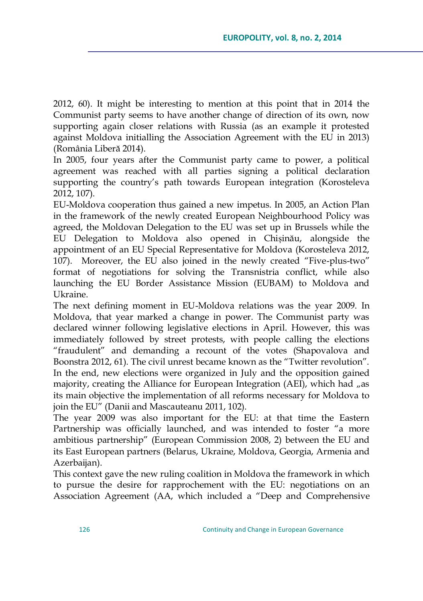2012, 60). It might be interesting to mention at this point that in 2014 the Communist party seems to have another change of direction of its own, now supporting again closer relations with Russia (as an example it protested against Moldova initialling the Association Agreement with the EU in 2013) (România Liberă 2014).

In 2005, four years after the Communist party came to power, a political agreement was reached with all parties signing a political declaration supporting the country's path towards European integration (Korosteleva 2012, 107).

EU-Moldova cooperation thus gained a new impetus. In 2005, an Action Plan in the framework of the newly created European Neighbourhood Policy was agreed, the Moldovan Delegation to the EU was set up in Brussels while the EU Delegation to Moldova also opened in Chișinău, alongside the appointment of an EU Special Representative for Moldova (Korosteleva 2012, 107). Moreover, the EU also joined in the newly created "Five-plus-two" format of negotiations for solving the Transnistria conflict, while also launching the EU Border Assistance Mission (EUBAM) to Moldova and Ukraine.

The next defining moment in EU-Moldova relations was the year 2009. In Moldova, that year marked a change in power. The Communist party was declared winner following legislative elections in April. However, this was immediately followed by street protests, with people calling the elections "fraudulent" and demanding a recount of the votes (Shapovalova and Boonstra 2012, 61). The civil unrest became known as the "Twitter revolution". In the end, new elections were organized in July and the opposition gained majority, creating the Alliance for European Integration (AEI), which had "as its main objective the implementation of all reforms necessary for Moldova to join the EU" (Danii and Mascauteanu 2011, 102).

The year 2009 was also important for the EU: at that time the Eastern Partnership was officially launched, and was intended to foster "a more ambitious partnership‖ (European Commission 2008, 2) between the EU and its East European partners (Belarus, Ukraine, Moldova, Georgia, Armenia and Azerbaijan).

This context gave the new ruling coalition in Moldova the framework in which to pursue the desire for rapprochement with the EU: negotiations on an Association Agreement (AA, which included a "Deep and Comprehensive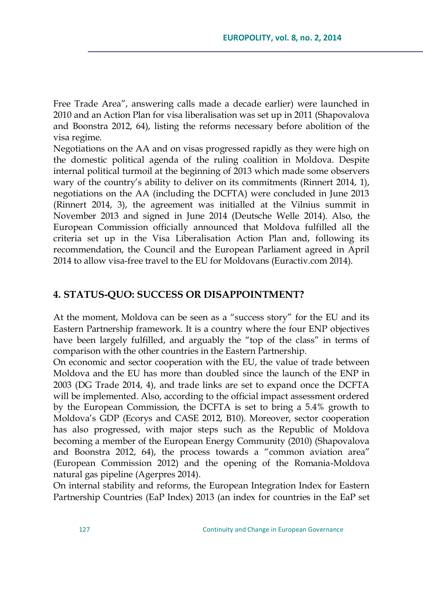Free Trade Area", answering calls made a decade earlier) were launched in 2010 and an Action Plan for visa liberalisation was set up in 2011 (Shapovalova and Boonstra 2012, 64), listing the reforms necessary before abolition of the visa regime.

Negotiations on the AA and on visas progressed rapidly as they were high on the domestic political agenda of the ruling coalition in Moldova. Despite internal political turmoil at the beginning of 2013 which made some observers wary of the country's ability to deliver on its commitments (Rinnert 2014, 1), negotiations on the AA (including the DCFTA) were concluded in June 2013 (Rinnert 2014, 3), the agreement was initialled at the Vilnius summit in November 2013 and signed in June 2014 (Deutsche Welle 2014). Also, the European Commission officially announced that Moldova fulfilled all the criteria set up in the Visa Liberalisation Action Plan and, following its recommendation, the Council and the European Parliament agreed in April 2014 to allow visa-free travel to the EU for Moldovans (Euractiv.com 2014).

#### **4. STATUS-QUO: SUCCESS OR DISAPPOINTMENT?**

At the moment, Moldova can be seen as a "success story" for the EU and its Eastern Partnership framework. It is a country where the four ENP objectives have been largely fulfilled, and arguably the "top of the class" in terms of comparison with the other countries in the Eastern Partnership.

On economic and sector cooperation with the EU, the value of trade between Moldova and the EU has more than doubled since the launch of the ENP in 2003 (DG Trade 2014, 4), and trade links are set to expand once the DCFTA will be implemented. Also, according to the official impact assessment ordered by the European Commission, the DCFTA is set to bring a 5.4% growth to Moldova's GDP (Ecorys and CASE 2012, B10). Moreover, sector cooperation has also progressed, with major steps such as the Republic of Moldova becoming a member of the European Energy Community (2010) (Shapovalova and Boonstra 2012, 64), the process towards a "common aviation area" (European Commission 2012) and the opening of the Romania-Moldova natural gas pipeline (Agerpres 2014).

On internal stability and reforms, the European Integration Index for Eastern Partnership Countries (EaP Index) 2013 (an index for countries in the EaP set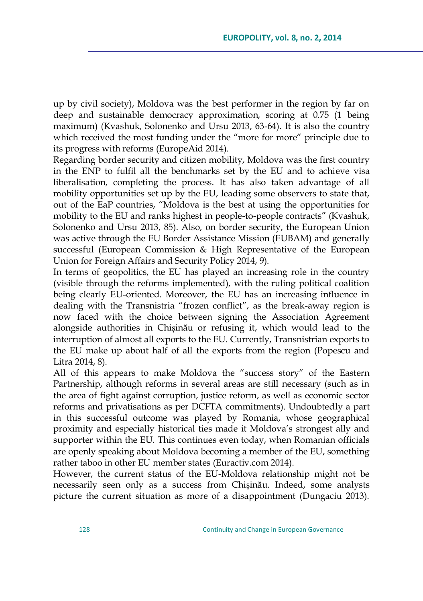up by civil society), Moldova was the best performer in the region by far on deep and sustainable democracy approximation, scoring at 0.75 (1 being maximum) (Kvashuk, Solonenko and Ursu 2013, 63-64). It is also the country which received the most funding under the "more for more" principle due to its progress with reforms (EuropeAid 2014).

Regarding border security and citizen mobility, Moldova was the first country in the ENP to fulfil all the benchmarks set by the EU and to achieve visa liberalisation, completing the process. It has also taken advantage of all mobility opportunities set up by the EU, leading some observers to state that, out of the EaP countries, "Moldova is the best at using the opportunities for mobility to the EU and ranks highest in people-to-people contracts‖ (Kvashuk, Solonenko and Ursu 2013, 85). Also, on border security, the European Union was active through the EU Border Assistance Mission (EUBAM) and generally successful (European Commission & High Representative of the European Union for Foreign Affairs and Security Policy 2014, 9).

In terms of geopolitics, the EU has played an increasing role in the country (visible through the reforms implemented), with the ruling political coalition being clearly EU-oriented. Moreover, the EU has an increasing influence in dealing with the Transnistria "frozen conflict", as the break-away region is now faced with the choice between signing the Association Agreement alongside authorities in Chișinău or refusing it, which would lead to the interruption of almost all exports to the EU. Currently, Transnistrian exports to the EU make up about half of all the exports from the region (Popescu and Litra 2014, 8).

All of this appears to make Moldova the "success story" of the Eastern Partnership, although reforms in several areas are still necessary (such as in the area of fight against corruption, justice reform, as well as economic sector reforms and privatisations as per DCFTA commitments). Undoubtedly a part in this successful outcome was played by Romania, whose geographical proximity and especially historical ties made it Moldova's strongest ally and supporter within the EU. This continues even today, when Romanian officials are openly speaking about Moldova becoming a member of the EU, something rather taboo in other EU member states (Euractiv.com 2014).

However, the current status of the EU-Moldova relationship might not be necessarily seen only as a success from Chișinău. Indeed, some analysts picture the current situation as more of a disappointment (Dungaciu 2013).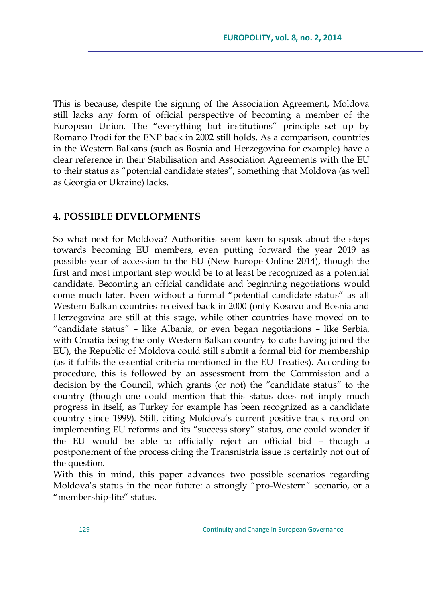This is because, despite the signing of the Association Agreement, Moldova still lacks any form of official perspective of becoming a member of the European Union. The "everything but institutions" principle set up by Romano Prodi for the ENP back in 2002 still holds. As a comparison, countries in the Western Balkans (such as Bosnia and Herzegovina for example) have a clear reference in their Stabilisation and Association Agreements with the EU to their status as "potential candidate states", something that Moldova (as well as Georgia or Ukraine) lacks.

### **4. POSSIBLE DEVELOPMENTS**

So what next for Moldova? Authorities seem keen to speak about the steps towards becoming EU members, even putting forward the year 2019 as possible year of accession to the EU (New Europe Online 2014), though the first and most important step would be to at least be recognized as a potential candidate. Becoming an official candidate and beginning negotiations would come much later. Even without a formal "potential candidate status" as all Western Balkan countries received back in 2000 (only Kosovo and Bosnia and Herzegovina are still at this stage, while other countries have moved on to ―candidate status‖ – like Albania, or even began negotiations – like Serbia, with Croatia being the only Western Balkan country to date having joined the EU), the Republic of Moldova could still submit a formal bid for membership (as it fulfils the essential criteria mentioned in the EU Treaties). According to procedure, this is followed by an assessment from the Commission and a decision by the Council, which grants (or not) the "candidate status" to the country (though one could mention that this status does not imply much progress in itself, as Turkey for example has been recognized as a candidate country since 1999). Still, citing Moldova's current positive track record on implementing EU reforms and its "success story" status, one could wonder if the EU would be able to officially reject an official bid – though a postponement of the process citing the Transnistria issue is certainly not out of the question.

With this in mind, this paper advances two possible scenarios regarding Moldova's status in the near future: a strongly "pro-Western" scenario, or a "membership-lite" status.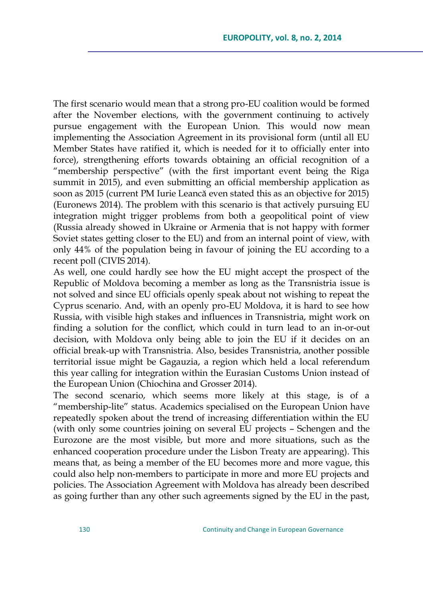The first scenario would mean that a strong pro-EU coalition would be formed after the November elections, with the government continuing to actively pursue engagement with the European Union. This would now mean implementing the Association Agreement in its provisional form (until all EU Member States have ratified it, which is needed for it to officially enter into force), strengthening efforts towards obtaining an official recognition of a "membership perspective" (with the first important event being the Riga summit in 2015), and even submitting an official membership application as soon as 2015 (current PM Iurie Leancă even stated this as an objective for 2015) (Euronews 2014). The problem with this scenario is that actively pursuing EU integration might trigger problems from both a geopolitical point of view (Russia already showed in Ukraine or Armenia that is not happy with former Soviet states getting closer to the EU) and from an internal point of view, with only 44% of the population being in favour of joining the EU according to a recent poll (CIVIS 2014).

As well, one could hardly see how the EU might accept the prospect of the Republic of Moldova becoming a member as long as the Transnistria issue is not solved and since EU officials openly speak about not wishing to repeat the Cyprus scenario. And, with an openly pro-EU Moldova, it is hard to see how Russia, with visible high stakes and influences in Transnistria, might work on finding a solution for the conflict, which could in turn lead to an in-or-out decision, with Moldova only being able to join the EU if it decides on an official break-up with Transnistria. Also, besides Transnistria, another possible territorial issue might be Gagauzia, a region which held a local referendum this year calling for integration within the Eurasian Customs Union instead of the European Union (Chiochina and Grosser 2014).

The second scenario, which seems more likely at this stage, is of a "membership-lite" status. Academics specialised on the European Union have repeatedly spoken about the trend of increasing differentiation within the EU (with only some countries joining on several EU projects – Schengen and the Eurozone are the most visible, but more and more situations, such as the enhanced cooperation procedure under the Lisbon Treaty are appearing). This means that, as being a member of the EU becomes more and more vague, this could also help non-members to participate in more and more EU projects and policies. The Association Agreement with Moldova has already been described as going further than any other such agreements signed by the EU in the past,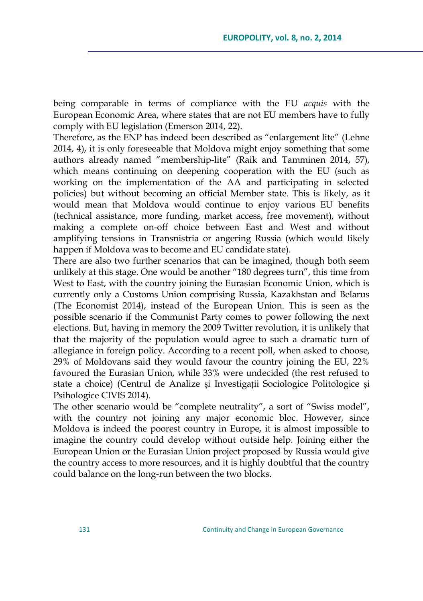being comparable in terms of compliance with the EU *acquis* with the European Economic Area, where states that are not EU members have to fully comply with EU legislation (Emerson 2014, 22).

Therefore, as the ENP has indeed been described as "enlargement lite" (Lehne 2014, 4), it is only foreseeable that Moldova might enjoy something that some authors already named "membership-lite" (Raik and Tamminen 2014, 57), which means continuing on deepening cooperation with the EU (such as working on the implementation of the AA and participating in selected policies) but without becoming an official Member state. This is likely, as it would mean that Moldova would continue to enjoy various EU benefits (technical assistance, more funding, market access, free movement), without making a complete on-off choice between East and West and without amplifying tensions in Transnistria or angering Russia (which would likely happen if Moldova was to become and EU candidate state).

There are also two further scenarios that can be imagined, though both seem unlikely at this stage. One would be another "180 degrees turn", this time from West to East, with the country joining the Eurasian Economic Union, which is currently only a Customs Union comprising Russia, Kazakhstan and Belarus (The Economist 2014), instead of the European Union. This is seen as the possible scenario if the Communist Party comes to power following the next elections. But, having in memory the 2009 Twitter revolution, it is unlikely that that the majority of the population would agree to such a dramatic turn of allegiance in foreign policy. According to a recent poll, when asked to choose, 29% of Moldovans said they would favour the country joining the EU, 22% favoured the Eurasian Union, while 33% were undecided (the rest refused to state a choice) (Centrul de Analize și Investigații Sociologice Politologice și Psihologice CIVIS 2014).

The other scenario would be "complete neutrality", a sort of "Swiss model", with the country not joining any major economic bloc. However, since Moldova is indeed the poorest country in Europe, it is almost impossible to imagine the country could develop without outside help. Joining either the European Union or the Eurasian Union project proposed by Russia would give the country access to more resources, and it is highly doubtful that the country could balance on the long-run between the two blocks.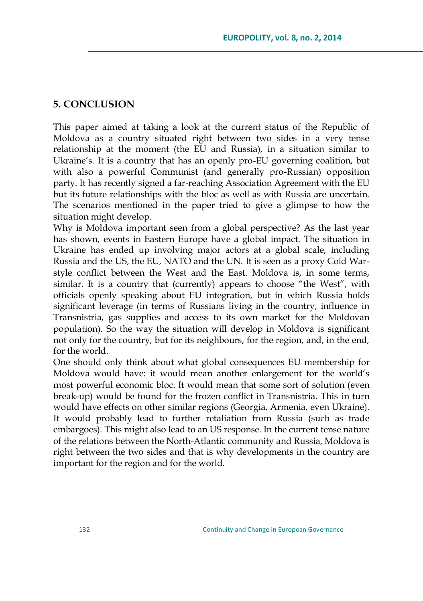## **5. CONCLUSION**

This paper aimed at taking a look at the current status of the Republic of Moldova as a country situated right between two sides in a very tense relationship at the moment (the EU and Russia), in a situation similar to Ukraine's. It is a country that has an openly pro-EU governing coalition, but with also a powerful Communist (and generally pro-Russian) opposition party. It has recently signed a far-reaching Association Agreement with the EU but its future relationships with the bloc as well as with Russia are uncertain. The scenarios mentioned in the paper tried to give a glimpse to how the situation might develop.

Why is Moldova important seen from a global perspective? As the last year has shown, events in Eastern Europe have a global impact. The situation in Ukraine has ended up involving major actors at a global scale, including Russia and the US, the EU, NATO and the UN. It is seen as a proxy Cold Warstyle conflict between the West and the East. Moldova is, in some terms, similar. It is a country that (currently) appears to choose "the West", with officials openly speaking about EU integration, but in which Russia holds significant leverage (in terms of Russians living in the country, influence in Transnistria, gas supplies and access to its own market for the Moldovan population). So the way the situation will develop in Moldova is significant not only for the country, but for its neighbours, for the region, and, in the end, for the world.

One should only think about what global consequences EU membership for Moldova would have: it would mean another enlargement for the world's most powerful economic bloc. It would mean that some sort of solution (even break-up) would be found for the frozen conflict in Transnistria. This in turn would have effects on other similar regions (Georgia, Armenia, even Ukraine). It would probably lead to further retaliation from Russia (such as trade embargoes). This might also lead to an US response. In the current tense nature of the relations between the North-Atlantic community and Russia, Moldova is right between the two sides and that is why developments in the country are important for the region and for the world.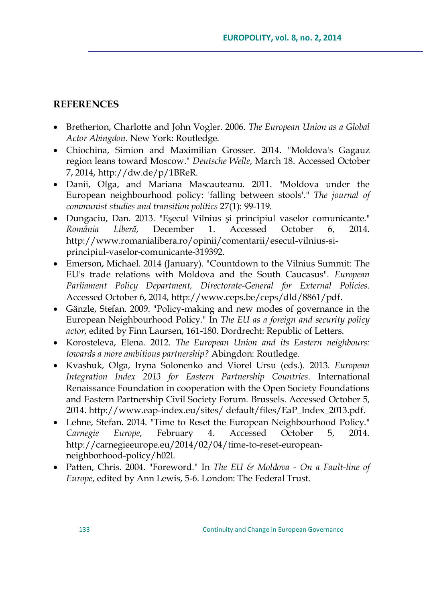## **REFERENCES**

- Bretherton, Charlotte and John Vogler. 2006. *The European Union as a Global Actor Abingdon*. New York: Routledge.
- Chiochina, Simion and Maximilian Grosser. 2014. "Moldova's Gagauz region leans toward Moscow." *Deutsche Welle*, March 18. Accessed October 7, 2014, [http://dw.de/p/1BReR.](http://dw.de/p/1BReR)
- Danii, Olga, and Mariana Mascauteanu. 2011. "Moldova under the European neighbourhood policy: 'falling between stools'." *The journal of communist studies and transition politics* 27(1): 99-119.
- Dungaciu, Dan. 2013. "Eşecul Vilnius şi principiul vaselor comunicante." *România Liberă*, December 1. Accessed October 6, 2014. [http://www.romanialibera.ro/opinii/comentarii/esecul-vilnius-si](http://www.romanialibera.ro/opinii/comentarii/esecul-vilnius-si-principiul-vaselor-comunicante-319392)[principiul-vaselor-comunicante-319392.](http://www.romanialibera.ro/opinii/comentarii/esecul-vilnius-si-principiul-vaselor-comunicante-319392)
- Emerson, Michael. 2014 (January). "Countdown to the Vilnius Summit: The EU's trade relations with Moldova and the South Caucasus". *European Parliament Policy Department, Directorate-General for External Policies*. Accessed October 6, 2014, [http://www.ceps.be/ceps/dld/8861/pdf.](http://www.ceps.be/ceps/dld/8861/pdf)
- Gänzle, Stefan. 2009. "Policy-making and new modes of governance in the European Neighbourhood Policy." In *The EU as a foreign and security policy actor*, edited by Finn Laursen, 161-180. Dordrecht: Republic of Letters.
- Korosteleva, Elena. 2012. *The European Union and its Eastern neighbours: towards a more ambitious partnership?* Abingdon: Routledge.
- Kvashuk, Olga, Iryna Solonenko and Viorel Ursu (eds.). 2013. *European Integration Index 2013 for Eastern Partnership Countries*. International Renaissance Foundation in cooperation with the Open Society Foundations and Eastern Partnership Civil Society Forum. Brussels. Accessed October 5, 2014. [http://www.eap-index.eu/sites/ default/files/EaP\\_Index\\_2013.pdf.](http://www.eap-index.eu/sites/%20default/files/EaP_Index_2013.pdf)
- Lehne, Stefan. 2014. "Time to Reset the European Neighbourhood Policy." *Carnegie Europe*, February 4. Accessed October 5, 2014. [http://carnegieeurope.eu/2014/02/04/time-to-reset-european](http://carnegieeurope.eu/2014/02/04/time-to-reset-european-neighborhood-policy/h02l)[neighborhood-policy/h02l.](http://carnegieeurope.eu/2014/02/04/time-to-reset-european-neighborhood-policy/h02l)
- Patten, Chris. 2004. "Foreword." In *The EU & Moldova - On a Fault-line of Europe*, edited by Ann Lewis, 5-6. London: The Federal Trust.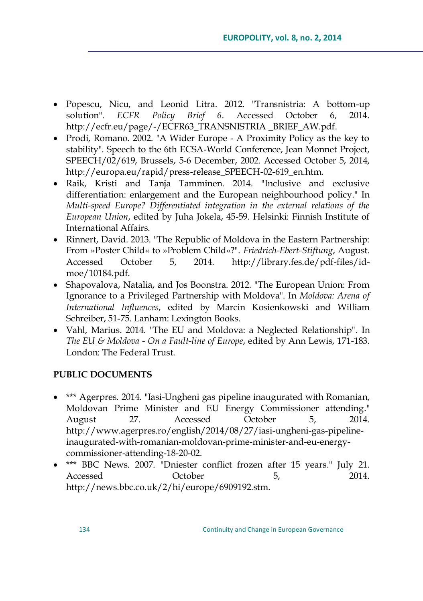- Popescu, Nicu, and Leonid Litra. 2012. "Transnistria: A bottom-up solution". *ECFR Policy Brief 6*. Accessed October 6, 2014. [http://ecfr.eu/page/-/ECFR63\\_TRANSNISTRIA \\_BRIEF\\_AW.pdf.](http://ecfr.eu/page/-/ECFR63_TRANSNISTRIA%20_BRIEF_AW.pdf)
- Prodi, Romano. 2002. "A Wider Europe A Proximity Policy as the key to stability". Speech to the 6th ECSA-World Conference, Jean Monnet Project, SPEECH/02/619, Brussels, 5-6 December, 2002. Accessed October 5, 2014, [http://europa.eu/rapid/press-release\\_SPEECH-02-619\\_en.htm.](http://europa.eu/rapid/press-release_SPEECH-02-619_en.htm)
- Raik, Kristi and Tanja Tamminen. 2014. "Inclusive and exclusive differentiation: enlargement and the European neighbourhood policy." In *Multi-speed Europe? Differentiated integration in the external relations of the European Union*, edited by Juha Jokela, 45-59. Helsinki: Finnish Institute of International Affairs.
- Rinnert, David. 2013. "The Republic of Moldova in the Eastern Partnership: From »Poster Child« to »Problem Child«?". *Friedrich-Ebert-Stiftung*, August. Accessed October 5, 2014. [http://library.fes.de/pdf-files/id](http://library.fes.de/pdf-files/id-moe/10184.pdf)[moe/10184.pdf.](http://library.fes.de/pdf-files/id-moe/10184.pdf)
- Shapovalova, Natalia, and Jos Boonstra. 2012. "The European Union: From Ignorance to a Privileged Partnership with Moldova". In *Moldova: Arena of International Influences*, edited by Marcin Kosienkowski and William Schreiber, 51-75. Lanham: Lexington Books.
- Vahl, Marius. 2014. "The EU and Moldova: a Neglected Relationship". In *The EU & Moldova - On a Fault-line of Europe*, edited by Ann Lewis, 171-183. London: The Federal Trust.

### **PUBLIC DOCUMENTS**

- \*\*\* Agerpres. 2014. "Iasi-Ungheni gas pipeline inaugurated with Romanian, Moldovan Prime Minister and EU Energy Commissioner attending." August 27. Accessed October 5, 2014. [http://www.agerpres.ro/english/2014/08/27/iasi-ungheni-gas-pipeline](http://www.agerpres.ro/english/2014/08/27/iasi-ungheni-gas-pipeline-inaugurated-with-romanian-moldovan-prime-minister-and-eu-energy-commissioner-attending-18-20-02)[inaugurated-with-romanian-moldovan-prime-minister-and-eu-energy](http://www.agerpres.ro/english/2014/08/27/iasi-ungheni-gas-pipeline-inaugurated-with-romanian-moldovan-prime-minister-and-eu-energy-commissioner-attending-18-20-02)[commissioner-attending-18-20-02.](http://www.agerpres.ro/english/2014/08/27/iasi-ungheni-gas-pipeline-inaugurated-with-romanian-moldovan-prime-minister-and-eu-energy-commissioner-attending-18-20-02)
- \*\*\* BBC News. 2007. "Dniester conflict frozen after 15 years." July 21. Accessed October 5, 2014. [http://news.bbc.co.uk/2/hi/europe/6909192.stm.](http://news.bbc.co.uk/2/hi/europe/6909192.stm)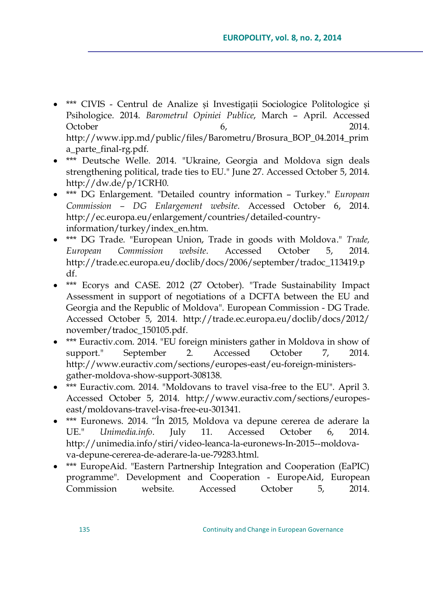- \*\*\* CIVIS Centrul de Analize și Investigații Sociologice Politologice și Psihologice. 2014. *Barometrul Opiniei Publice*, March – April. Accessed October 6, 2014. [http://www.ipp.md/public/files/Barometru/Brosura\\_BOP\\_04.2014\\_prim](http://www.ipp.md/public/files/Barometru/Brosura_BOP_04.2014_prima_parte_final-rg.pdf) [a\\_parte\\_final-rg.pdf.](http://www.ipp.md/public/files/Barometru/Brosura_BOP_04.2014_prima_parte_final-rg.pdf)
- \*\*\* Deutsche Welle. 2014. "Ukraine, Georgia and Moldova sign deals strengthening political, trade ties to EU." June 27. Accessed October 5, 2014. [http://dw.de/p/1CRH0.](http://dw.de/p/1CRH0)
- \*\*\* DG Enlargement. "Detailed country information Turkey." *European Commission – DG Enlargement website*. Accessed October 6, 2014. [http://ec.europa.eu/enlargement/countries/detailed-country](http://ec.europa.eu/enlargement/countries/detailed-country-information/turkey/index_en.htm)[information/turkey/index\\_en.htm.](http://ec.europa.eu/enlargement/countries/detailed-country-information/turkey/index_en.htm)
- \*\*\* DG Trade. "European Union, Trade in goods with Moldova." *Trade, European Commission website*. Accessed October 5, 2014. [http://trade.ec.europa.eu/doclib/docs/2006/september/tradoc\\_113419.p](http://trade.ec.europa.eu/doclib/docs/2006/september/tradoc_113419.pdf) [df.](http://trade.ec.europa.eu/doclib/docs/2006/september/tradoc_113419.pdf)
- \*\*\* Ecorys and CASE. 2012 (27 October). "Trade Sustainability Impact Assessment in support of negotiations of a DCFTA between the EU and Georgia and the Republic of Moldova". European Commission - DG Trade. Accessed October 5, 2014. [http://trade.ec.europa.eu/doclib/docs/2012/](http://trade.ec.europa.eu/doclib/docs/2012/%20november/tradoc_150105.pdf)  [november/tradoc\\_150105.pdf.](http://trade.ec.europa.eu/doclib/docs/2012/%20november/tradoc_150105.pdf)
- \*\*\* Euractiv.com. 2014. "EU foreign ministers gather in Moldova in show of support." September 2. Accessed October 7, 2014. [http://www.euractiv.com/sections/europes-east/eu-foreign-ministers](http://www.euractiv.com/sections/europes-east/eu-foreign-ministers-gather-moldova-show-support-308138)[gather-moldova-show-support-308138.](http://www.euractiv.com/sections/europes-east/eu-foreign-ministers-gather-moldova-show-support-308138)
- \*\*\* Euractiv.com. 2014. "Moldovans to travel visa-free to the EU". April 3. Accessed October 5, 2014. [http://www.euractiv.com/sections/europes](http://www.euractiv.com/sections/europes-east/moldovans-travel-visa-free-eu-301341)[east/moldovans-travel-visa-free-eu-301341.](http://www.euractiv.com/sections/europes-east/moldovans-travel-visa-free-eu-301341)
- \*\*\* Euronews. 2014. "În 2015, Moldova va depune cererea de aderare la UE." *Unimedia.info*. July 11. Accessed October 6, 2014. [http://unimedia.info/stiri/video-leanca-la-euronews-In-2015--moldova](http://unimedia.info/stiri/video-leanca-la-euronews-In-2015--moldova-va-depune-cererea-de-aderare-la-ue-79283.html)[va-depune-cererea-de-aderare-la-ue-79283.html.](http://unimedia.info/stiri/video-leanca-la-euronews-In-2015--moldova-va-depune-cererea-de-aderare-la-ue-79283.html)
- \*\*\* EuropeAid. "Eastern Partnership Integration and Cooperation (EaPIC) programme". Development and Cooperation - EuropeAid, European Commission website. Accessed October 5, 2014.